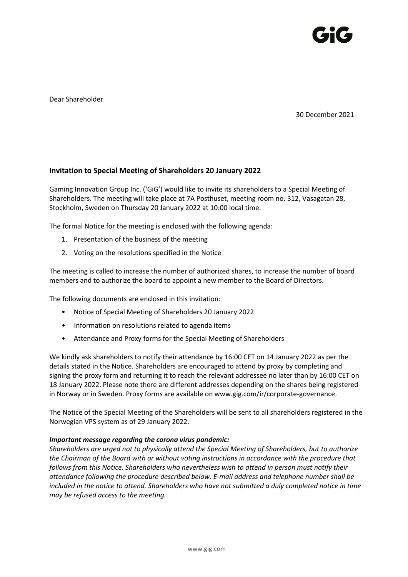

Dear Shareholder

30 December 2021

## **Invitation to Special Meeting of Shareholders 20 January 2022**

Gaming Innovation Group Inc. ('GiG') would like to invite its shareholders to a Special Meeting of Shareholders. The meeting will take place at 7A Posthuset, meeting room no. 312, Vasagatan 28, Stockholm, Sweden on Thursday 20 January 2022 at 10:00 local time.

The formal Notice for the meeting is enclosed with the following agenda:

- 1. Presentation of the business of the meeting
- 2. Voting on the resolutions specified in the Notice

The meeting is called to increase the number of authorized shares, to increase the number of board members and to authorize the board to appoint a new member to the Board of Directors.

The following documents are enclosed in this invitation:

- Notice of Special Meeting of Shareholders 20 January 2022
- Information on resolutions related to agenda items
- Attendance and Proxy forms for the Special Meeting of Shareholders

We kindly ask shareholders to notify their attendance by 16:00 CET on 14 January 2022 as per the details stated in the Notice. Shareholders are encouraged to attend by proxy by completing and signing the proxy form and returning it to reach the relevant addressee no later than by 16:00 CET on 18 January 2022. Please note there are different addresses depending on the shares being registered in Norway or in Sweden. Proxy forms are available on [www.gig.com/ir/corporate-governance.](http://www.gig.com/ir/corporate-governance)

The Notice of the Special Meeting of the Shareholders will be sent to all shareholders registered in the Norwegian VPS system as of 29 January 2022.

#### *Important message regarding the corona virus pandemic:*

*Shareholders are urged not to physically attend the Special Meeting of Shareholders, but to authorize the Chairman of the Board with or without voting instructions in accordance with the procedure that follows from this Notice. Shareholders who nevertheless wish to attend in person must notify their attendance following the procedure described below. E-mail address and telephone number shall be included in the notice to attend. Shareholders who have not submitted a duly completed notice in time may be refused access to the meeting.*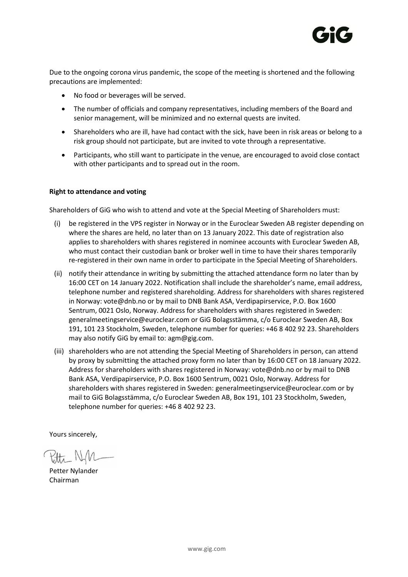

Due to the ongoing corona virus pandemic, the scope of the meeting is shortened and the following precautions are implemented:

- No food or beverages will be served.
- The number of officials and company representatives, including members of the Board and senior management, will be minimized and no external quests are invited.
- Shareholders who are ill, have had contact with the sick, have been in risk areas or belong to a risk group should not participate, but are invited to vote through a representative.
- Participants, who still want to participate in the venue, are encouraged to avoid close contact with other participants and to spread out in the room.

### **Right to attendance and voting**

Shareholders of GiG who wish to attend and vote at the Special Meeting of Shareholders must:

- (i) be registered in the VPS register in Norway or in the Euroclear Sweden AB register depending on where the shares are held, no later than on 13 January 2022. This date of registration also applies to shareholders with shares registered in nominee accounts with Euroclear Sweden AB, who must contact their custodian bank or broker well in time to have their shares temporarily re-registered in their own name in order to participate in the Special Meeting of Shareholders.
- (ii) notify their attendance in writing by submitting the attached attendance form no later than by 16:00 CET on 14 January 2022. Notification shall include the shareholder's name, email address, telephone number and registered shareholding. Address for shareholders with shares registered in Norway: vote@dnb.no or by mail to DNB Bank ASA, Verdipapirservice, P.O. Box 1600 Sentrum, 0021 Oslo, Norway. Address for shareholders with shares registered in Sweden: generalmeetingservice@euroclear.com or GiG Bolagsstämma, c/o Euroclear Sweden AB, Box 191, 101 23 Stockholm, Sweden, telephone number for queries: +46 8 402 92 23. Shareholders may also notify GiG by email to: [agm@gig.com.](mailto:agm@gig.com)
- (iii) shareholders who are not attending the Special Meeting of Shareholders in person, can attend by proxy by submitting the attached proxy form no later than by 16:00 CET on 18 January 2022. Address for shareholders with shares registered in Norway: vote@dnb.no or by mail to DNB Bank ASA, Verdipapirservice, P.O. Box 1600 Sentrum, 0021 Oslo, Norway. Address for shareholders with shares registered in Sweden: generalmeetingservice@euroclear.com or by mail to GiG Bolagsstämma, c/o Euroclear Sweden AB, Box 191, 101 23 Stockholm, Sweden, telephone number for queries: +46 8 402 92 23.

Yours sincerely,

Ptte NM

Petter Nylander Chairman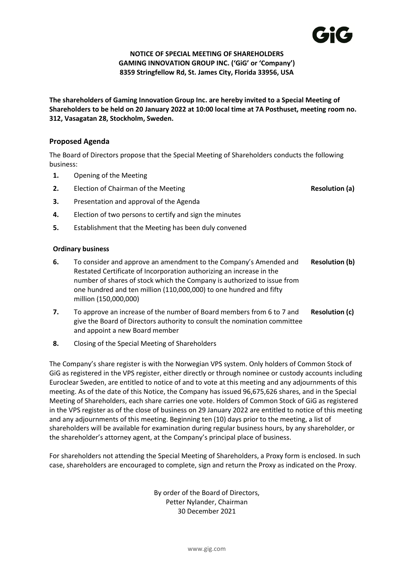

## **NOTICE OF SPECIAL MEETING OF SHAREHOLDERS GAMING INNOVATION GROUP INC. ('GiG' or 'Company') 8359 Stringfellow Rd, St. James City, Florida 33956, USA**

**The shareholders of Gaming Innovation Group Inc. are hereby invited to a Special Meeting of Shareholders to be held on 20 January 2022 at 10:00 local time at 7A Posthuset, meeting room no. 312, Vasagatan 28, Stockholm, Sweden.**

## **Proposed Agenda**

The Board of Directors propose that the Special Meeting of Shareholders conducts the following business:

- **1.** Opening of the Meeting
- **2.** Election of Chairman of the Meeting **Resolution (a)**
- **3.** Presentation and approval of the Agenda
- **4.** Election of two persons to certify and sign the minutes
- **5.** Establishment that the Meeting has been duly convened

## **Ordinary business**

- **6.** To consider and approve an amendment to the Company's Amended and Restated Certificate of Incorporation authorizing an increase in the number of shares of stock which the Company is authorized to issue from one hundred and ten million (110,000,000) to one hundred and fifty million (150,000,000) **Resolution (b)**
- **7.** To approve an increase of the number of Board members from 6 to 7 and give the Board of Directors authority to consult the nomination committee and appoint a new Board member **Resolution (c)**
- **8.** Closing of the Special Meeting of Shareholders

The Company's share register is with the Norwegian VPS system. Only holders of Common Stock of GiG as registered in the VPS register, either directly or through nominee or custody accounts including Euroclear Sweden, are entitled to notice of and to vote at this meeting and any adjournments of this meeting. As of the date of this Notice, the Company has issued 96,675,626 shares, and in the Special Meeting of Shareholders, each share carries one vote. Holders of Common Stock of GiG as registered in the VPS register as of the close of business on 29 January 2022 are entitled to notice of this meeting and any adjournments of this meeting. Beginning ten (10) days prior to the meeting, a list of shareholders will be available for examination during regular business hours, by any shareholder, or the shareholder's attorney agent, at the Company's principal place of business.

For shareholders not attending the Special Meeting of Shareholders, a Proxy form is enclosed. In such case, shareholders are encouraged to complete, sign and return the Proxy as indicated on the Proxy.

> By order of the Board of Directors, Petter Nylander, Chairman 30 December 2021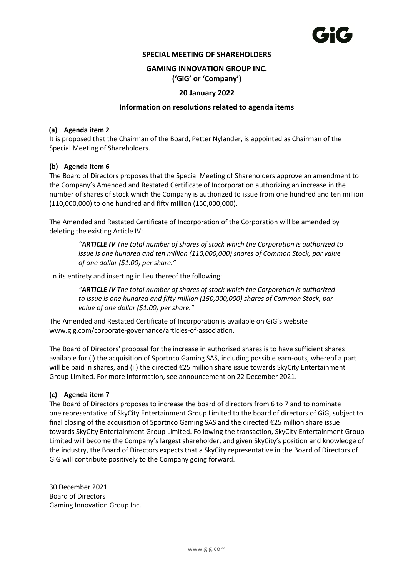## **SPECIAL MEETING OF SHAREHOLDERS**

## **GAMING INNOVATION GROUP INC. ('GiG' or 'Company')**

## **20 January 2022**

#### **Information on resolutions related to agenda items**

#### **(a) Agenda item 2**

It is proposed that the Chairman of the Board, Petter Nylander, is appointed as Chairman of the Special Meeting of Shareholders.

### **(b) Agenda item 6**

The Board of Directors proposes that the Special Meeting of Shareholders approve an amendment to the Company's Amended and Restated Certificate of Incorporation authorizing an increase in the number of shares of stock which the Company is authorized to issue from one hundred and ten million (110,000,000) to one hundred and fifty million (150,000,000).

The Amended and Restated Certificate of Incorporation of the Corporation will be amended by deleting the existing Article IV:

*"ARTICLE IV The total number of shares of stock which the Corporation is authorized to issue is one hundred and ten million (110,000,000) shares of Common Stock, par value of one dollar (\$1.00) per share."*

in its entirety and inserting in lieu thereof the following:

*"ARTICLE IV The total number of shares of stock which the Corporation is authorized to issue is one hundred and fifty million (150,000,000) shares of Common Stock, par value of one dollar (\$1.00) per share."*

The Amended and Restated Certificate of Incorporation is available on GiG's website www.gig.com/corporate-governance/articles-of-association.

The Board of Directors' proposal for the increase in authorised shares is to have sufficient shares available for (i) the acquisition of Sportnco Gaming SAS, including possible earn-outs, whereof a part will be paid in shares, and (ii) the directed €25 million share issue towards SkyCity Entertainment Group Limited. For more information, see announcement on 22 December 2021.

#### **(c) Agenda item 7**

The Board of Directors proposes to increase the board of directors from 6 to 7 and to nominate one representative of SkyCity Entertainment Group Limited to the board of directors of GiG, subject to final closing of the acquisition of Sportnco Gaming SAS and the directed €25 million share issue towards SkyCity Entertainment Group Limited. Following the transaction, SkyCity Entertainment Group Limited will become the Company's largest shareholder, and given SkyCity's position and knowledge of the industry, the Board of Directors expects that a SkyCity representative in the Board of Directors of GiG will contribute positively to the Company going forward.

30 December 2021 Board of Directors Gaming Innovation Group Inc.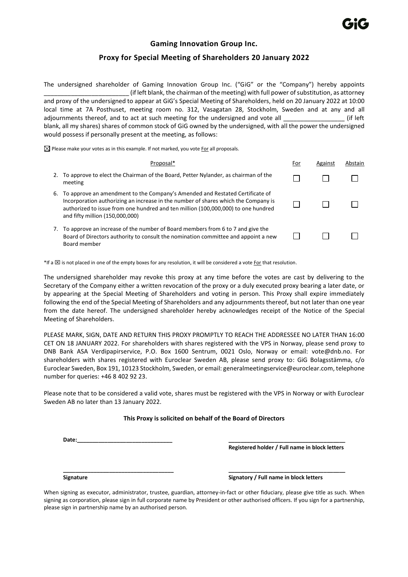## **Gaming Innovation Group Inc.**

## **Proxy for Special Meeting of Shareholders 20 January 2022**

The undersigned shareholder of Gaming Innovation Group Inc. ("GiG" or the "Company") hereby appoints  $\_$  (if left blank, the chairman of the meeting) with full power of substitution, as attorney and proxy of the undersigned to appear at GiG's Special Meeting of Shareholders, held on 20 January 2022 at 10:00 local time at 7A Posthuset, meeting room no. 312, Vasagatan 28, Stockholm, Sweden and at any and all adjournments thereof, and to act at such meeting for the undersigned and vote all \_\_\_\_\_\_\_\_\_\_\_\_\_\_\_\_\_\_\_\_\_\_\_\_ (if left blank, all my shares) shares of common stock of GiG owned by the undersigned, with all the power the undersigned would possess if personally present at the meeting, as follows:

 $\boxtimes$  Please make your votes as in this example. If not marked, you vote For all proposals.

|    | Proposal*                                                                                                                                                                                                                                                                                  | For | Against | Abstain |
|----|--------------------------------------------------------------------------------------------------------------------------------------------------------------------------------------------------------------------------------------------------------------------------------------------|-----|---------|---------|
| 2. | To approve to elect the Chairman of the Board, Petter Nylander, as chairman of the<br>meeting                                                                                                                                                                                              |     |         |         |
| 6. | To approve an amendment to the Company's Amended and Restated Certificate of<br>Incorporation authorizing an increase in the number of shares which the Company is<br>authorized to issue from one hundred and ten million (100,000,000) to one hundred<br>and fifty million (150,000,000) |     |         |         |
| 7. | To approve an increase of the number of Board members from 6 to 7 and give the<br>Board of Directors authority to consult the nomination committee and appoint a new<br>Board member                                                                                                       |     |         |         |

 $*$ If a  $\boxtimes$  is not placed in one of the empty boxes for any resolution, it will be considered a vote For that resolution.

The undersigned shareholder may revoke this proxy at any time before the votes are cast by delivering to the Secretary of the Company either a written revocation of the proxy or a duly executed proxy bearing a later date, or by appearing at the Special Meeting of Shareholders and voting in person. This Proxy shall expire immediately following the end of the Special Meeting of Shareholders and any adjournments thereof, but not later than one year from the date hereof. The undersigned shareholder hereby acknowledges receipt of the Notice of the Special Meeting of Shareholders.

PLEASE MARK, SIGN, DATE AND RETURN THIS PROXY PROMPTLY TO REACH THE ADDRESSEE NO LATER THAN 16:00 CET ON 18 JANUARY 2022. For shareholders with shares registered with the VPS in Norway, please send proxy to DNB Bank ASA Verdipapirservice, P.O. Box 1600 Sentrum, 0021 Oslo, Norway or email: vote@dnb.no. For shareholders with shares registered with Euroclear Sweden AB, please send proxy to: GiG Bolagsstämma, c/o Euroclear Sweden, Box 191, 10123 Stockholm, Sweden, or email: generalmeetingservice@euroclear.com, telephone number for queries: +46 8 402 92 23.

Please note that to be considered a valid vote, shares must be registered with the VPS in Norway or with Euroclear Sweden AB no later than 13 January 2022.

#### **This Proxy is solicited on behalf of the Board of Directors**

**Date:\_\_\_\_\_\_\_\_\_\_\_\_\_\_\_\_\_\_\_\_\_\_\_\_\_\_\_\_\_\_\_ \_\_\_\_\_\_\_\_\_\_\_\_\_\_\_\_\_\_\_\_\_\_\_\_\_\_\_\_\_\_\_\_\_\_\_\_\_\_**

**Registered holder / Full name in block letters**

#### **Signature Signatory / Full name in block letters**

When signing as executor, administrator, trustee, guardian, attorney-in-fact or other fiduciary, please give title as such. When signing as corporation, please sign in full corporate name by President or other authorised officers. If you sign for a partnership, please sign in partnership name by an authorised person.

**\_\_\_\_\_\_\_\_\_\_\_\_\_\_\_\_\_\_\_\_\_\_\_\_\_\_\_\_\_\_\_\_\_\_\_\_ \_\_\_\_\_\_\_\_\_\_\_\_\_\_\_\_\_\_\_\_\_\_\_\_\_\_\_\_\_\_\_\_\_\_\_\_\_\_**